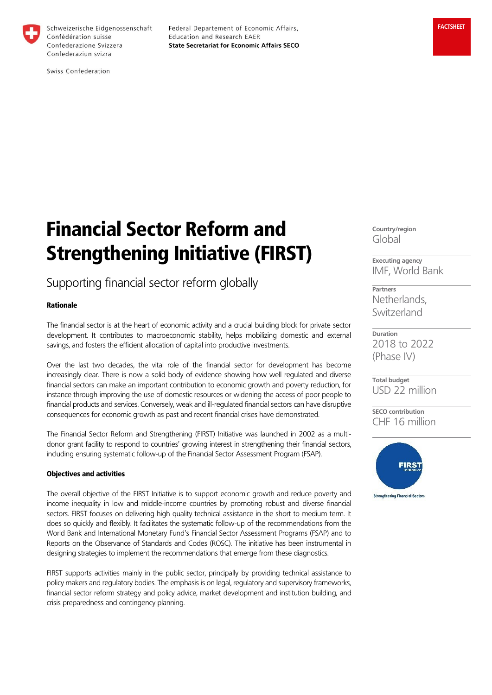

Schweizerische Eidgenossenschaft Confédération suisse Confederazione Svizzera Confederaziun svizra

Federal Departement of Economic Affairs, Education and Research EAER **State Secretariat for Economic Affairs SECO** 

Swiss Confederation

# Financial Sector Reform and Strengthening Initiative (FIRST)

## Supporting financial sector reform globally

### Rationale

The financial sector is at the heart of economic activity and a crucial building block for private sector development. It contributes to macroeconomic stability, helps mobilizing domestic and external savings, and fosters the efficient allocation of capital into productive investments.

Over the last two decades, the vital role of the financial sector for development has become increasingly clear. There is now a solid body of evidence showing how well regulated and diverse financial sectors can make an important contribution to economic growth and poverty reduction, for instance through improving the use of domestic resources or widening the access of poor people to financial products and services. Conversely, weak and ill-regulated financial sectors can have disruptive consequences for economic growth as past and recent financial crises have demonstrated.

The Financial Sector Reform and Strengthening (FIRST) Initiative was launched in 2002 as a multidonor grant facility to respond to countries' growing interest in strengthening their financial sectors, including ensuring systematic follow-up of the Financial Sector Assessment Program (FSAP).

#### Objectives and activities

The overall objective of the FIRST Initiative is to support economic growth and reduce poverty and income inequality in low and middle-income countries by promoting robust and diverse financial sectors. FIRST focuses on delivering high quality technical assistance in the short to medium term. It does so quickly and flexibly. It facilitates the systematic follow-up of the recommendations from the World Bank and International Monetary Fund's Financial Sector Assessment Programs (FSAP) and to Reports on the Observance of Standards and Codes (ROSC). The initiative has been instrumental in designing strategies to implement the recommendations that emerge from these diagnostics.

FIRST supports activities mainly in the public sector, principally by providing technical assistance to policy makers and regulatory bodies. The emphasis is on legal, regulatory and supervisory frameworks, financial sector reform strategy and policy advice, market development and institution building, and crisis preparedness and contingency planning.

**Country/region** Global

**Executing agency** IMF, World Bank

**Partners** Netherlands, Switzerland

**Duration** 2018 to 2022 (Phase IV)

**Total budget** USD 22 million

**SECO contribution** CHF 16 million